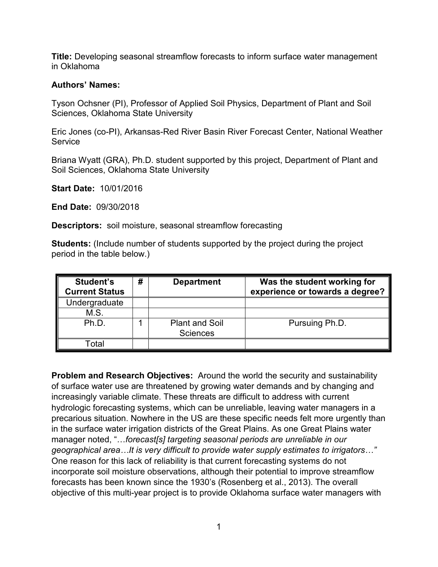**Title:** Developing seasonal streamflow forecasts to inform surface water management in Oklahoma

## **Authors' Names:**

Tyson Ochsner (PI), Professor of Applied Soil Physics, Department of Plant and Soil Sciences, Oklahoma State University

Eric Jones (co-PI), Arkansas-Red River Basin River Forecast Center, National Weather Service

Briana Wyatt (GRA), Ph.D. student supported by this project, Department of Plant and Soil Sciences, Oklahoma State University

**Start Date:** 10/01/2016

**End Date:** 09/30/2018

**Descriptors:** soil moisture, seasonal streamflow forecasting

**Students:** (Include number of students supported by the project during the project period in the table below.)

| Student's<br><b>Current Status</b> | # | <b>Department</b>                        | Was the student working for<br>experience or towards a degree? |
|------------------------------------|---|------------------------------------------|----------------------------------------------------------------|
| Undergraduate                      |   |                                          |                                                                |
| M.S.                               |   |                                          |                                                                |
| Ph.D.                              |   | <b>Plant and Soil</b><br><b>Sciences</b> | Pursuing Ph.D.                                                 |
| Total                              |   |                                          |                                                                |

**Problem and Research Objectives:** Around the world the security and sustainability of surface water use are threatened by growing water demands and by changing and increasingly variable climate. These threats are difficult to address with current hydrologic forecasting systems, which can be unreliable, leaving water managers in a precarious situation. Nowhere in the US are these specific needs felt more urgently than in the surface water irrigation districts of the Great Plains. As one Great Plains water manager noted, "…*forecast[s] targeting seasonal periods are unreliable in our geographical area…It is very difficult to provide water supply estimates to irrigators…"* One reason for this lack of reliability is that current forecasting systems do not incorporate soil moisture observations, although their potential to improve streamflow forecasts has been known since the 1930's (Rosenberg et al., 2013). The overall objective of this multi-year project is to provide Oklahoma surface water managers with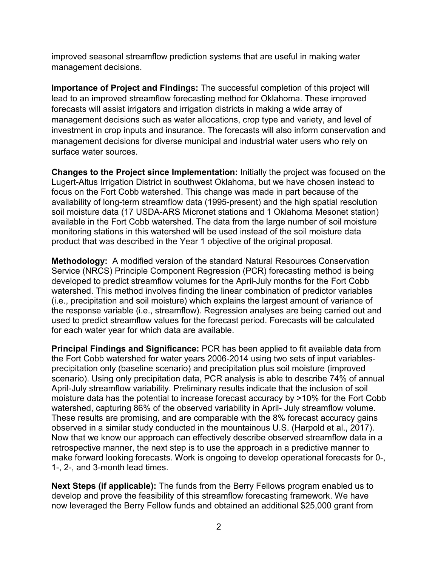improved seasonal streamflow prediction systems that are useful in making water management decisions.

**Importance of Project and Findings:** The successful completion of this project will lead to an improved streamflow forecasting method for Oklahoma. These improved forecasts will assist irrigators and irrigation districts in making a wide array of management decisions such as water allocations, crop type and variety, and level of investment in crop inputs and insurance. The forecasts will also inform conservation and management decisions for diverse municipal and industrial water users who rely on surface water sources.

**Changes to the Project since Implementation:** Initially the project was focused on the Lugert-Altus Irrigation District in southwest Oklahoma, but we have chosen instead to focus on the Fort Cobb watershed. This change was made in part because of the availability of long-term streamflow data (1995-present) and the high spatial resolution soil moisture data (17 USDA-ARS Micronet stations and 1 Oklahoma Mesonet station) available in the Fort Cobb watershed. The data from the large number of soil moisture monitoring stations in this watershed will be used instead of the soil moisture data product that was described in the Year 1 objective of the original proposal.

**Methodology:** A modified version of the standard Natural Resources Conservation Service (NRCS) Principle Component Regression (PCR) forecasting method is being developed to predict streamflow volumes for the April-July months for the Fort Cobb watershed. This method involves finding the linear combination of predictor variables (i.e., precipitation and soil moisture) which explains the largest amount of variance of the response variable (i.e., streamflow). Regression analyses are being carried out and used to predict streamflow values for the forecast period. Forecasts will be calculated for each water year for which data are available.

**Principal Findings and Significance:** PCR has been applied to fit available data from the Fort Cobb watershed for water years 2006-2014 using two sets of input variablesprecipitation only (baseline scenario) and precipitation plus soil moisture (improved scenario). Using only precipitation data, PCR analysis is able to describe 74% of annual April-July streamflow variability. Preliminary results indicate that the inclusion of soil moisture data has the potential to increase forecast accuracy by >10% for the Fort Cobb watershed, capturing 86% of the observed variability in April- July streamflow volume. These results are promising, and are comparable with the 8% forecast accuracy gains observed in a similar study conducted in the mountainous U.S. (Harpold et al., 2017). Now that we know our approach can effectively describe observed streamflow data in a retrospective manner, the next step is to use the approach in a predictive manner to make forward looking forecasts. Work is ongoing to develop operational forecasts for 0-, 1-, 2-, and 3-month lead times.

**Next Steps (if applicable):** The funds from the Berry Fellows program enabled us to develop and prove the feasibility of this streamflow forecasting framework. We have now leveraged the Berry Fellow funds and obtained an additional \$25,000 grant from